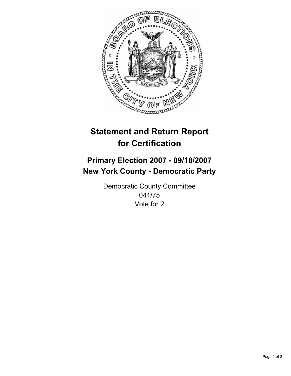

# **Statement and Return Report for Certification**

## **Primary Election 2007 - 09/18/2007 New York County - Democratic Party**

Democratic County Committee 041/75 Vote for 2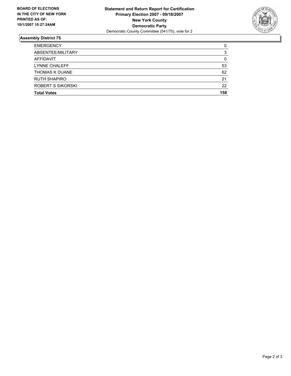

### **Assembly District 75**

| <b>EMERGENCY</b>      | C   |
|-----------------------|-----|
| ABSENTEE/MILITARY     |     |
| AFFIDAVIT             |     |
| <b>LYNNE CHALEFF</b>  | 53  |
| <b>THOMAS K DUANE</b> | 62  |
| <b>RUTH SHAPIRO</b>   | 21  |
| ROBERT S SIKORSKI     | 22  |
| <b>Total Votes</b>    | 158 |